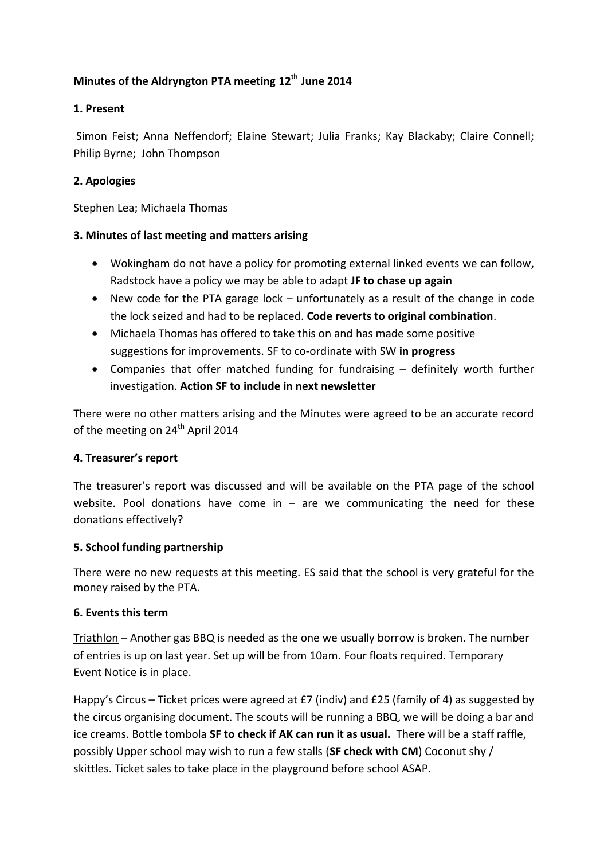# **Minutes of the Aldryngton PTA meeting 12th June 2014**

## **1. Present**

Simon Feist; Anna Neffendorf; Elaine Stewart; Julia Franks; Kay Blackaby; Claire Connell; Philip Byrne; John Thompson

### **2. Apologies**

Stephen Lea; Michaela Thomas

### **3. Minutes of last meeting and matters arising**

- Wokingham do not have a policy for promoting external linked events we can follow, Radstock have a policy we may be able to adapt **JF to chase up again**
- New code for the PTA garage lock unfortunately as a result of the change in code the lock seized and had to be replaced. **Code reverts to original combination**.
- Michaela Thomas has offered to take this on and has made some positive suggestions for improvements. SF to co-ordinate with SW **in progress**
- Companies that offer matched funding for fundraising definitely worth further investigation. **Action SF to include in next newsletter**

There were no other matters arising and the Minutes were agreed to be an accurate record of the meeting on  $24<sup>th</sup>$  April 2014

#### **4. Treasurer's report**

The treasurer's report was discussed and will be available on the PTA page of the school website. Pool donations have come in  $-$  are we communicating the need for these donations effectively?

#### **5. School funding partnership**

There were no new requests at this meeting. ES said that the school is very grateful for the money raised by the PTA.

#### **6. Events this term**

Triathlon – Another gas BBQ is needed as the one we usually borrow is broken. The number of entries is up on last year. Set up will be from 10am. Four floats required. Temporary Event Notice is in place.

Happy's Circus – Ticket prices were agreed at £7 (indiv) and £25 (family of 4) as suggested by the circus organising document. The scouts will be running a BBQ, we will be doing a bar and ice creams. Bottle tombola **SF to check if AK can run it as usual.** There will be a staff raffle, possibly Upper school may wish to run a few stalls (**SF check with CM**) Coconut shy / skittles. Ticket sales to take place in the playground before school ASAP.